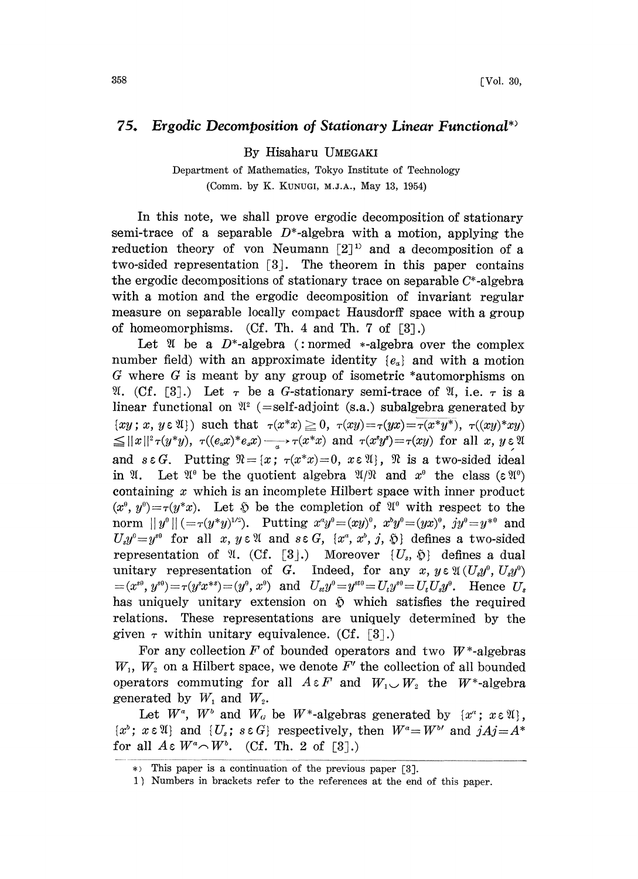## 75. Ergodic Decomposition of Stationary Linear Functional\*

By Hisaharu UMEGAKI

Department of Mathematics, Tokyo Institute of Technology (Comm. by K. KUNUGI, M.J.A., May 13, 1954)

In this note, we shall prove ergodic decomposition of stationary semi-trace of a separable  $D^*$ -algebra with a motion, applying the reduction theory of von Neumann  $[2]$ <sup>1)</sup> and a decomposition of a two-sided representation  $\lceil 3 \rceil$ . The theorem in this paper contains the ergodic decompositions of stationary trace on separable C\*-algebra with a motion and the ergodic decomposition of invariant regular measure on separable locally compact Hausdorff space with a group of homeomorphisms. (Cf. Th. 4 and Th. 7 of  $[3]$ .)

Let  $\mathfrak A$  be a D<sup>\*</sup>-algebra (: normed \*-algebra over the complex number field) with an approximate identity  ${e_a}$  and with a motion G where G is meant by any group of isometric \*automorphisms on  $\mathfrak{A}$ . (Cf. [3].) Let  $\tau$  be a G-stationary semi-trace of  $\mathfrak{A}$ , i.e.  $\tau$  is a linear functional on  $\mathfrak{A}^2$  (=self-adjoint (s.a.) subalgebra generated by  $\{xy; x, y \in \mathfrak{A}\}\)$  such that  $\tau(x^*x) \geq 0$ ,  $\tau(xy) = \tau(yx) = \tau(x^*y^*)$ ,  $\tau((xy)^*xy)$  $\leq ||x||^2 \tau(y^*y), \ \tau((e_x x)^* e_x x) \longrightarrow \tau(x^*x) \text{ and } \tau(x^*y^*) = \tau(xy) \text{ for all } x, y \in \mathfrak{A}$ and  $s \in G$ . Putting  $\mathcal{R} = \{x : \tau(x^*x) = 0, x \in \mathcal{R}\}\$ ,  $\mathcal{R}$  is a two-sided ideal<br>in  $\mathcal{R}$ . Let  $\mathcal{R}^0$  be the quotient algebra  $\mathcal{R}/\mathcal{R}$  and  $x^0$  the class  $(\varepsilon \mathcal{R}^0)$ <br>containing x which is an incompl containing  $x$  which is an incomplete Hilbert space with inner product  $(x^{\theta}, y^{\theta}) = \tau(y^*x)$ . Let  $\tilde{y}$  be the completion of  $\mathfrak{A}^{\theta}$  with respect to the norm  $||y^0|| (=r(y*y)^{1/2})$ . Putting  $x^ay^0=(xy)^0$ ,  $x^by^0=(yx)^0$ ,  $jy^0=y^{*0}$  and  $U_sy^0=y^{*0}$  for all x,  $y \in \mathfrak{A}$  and  $s \in G$ ,  $\{x^a, x^b, j, \mathfrak{D}\}$  defines a two-sided  $U_s y^\circ = y^{s\theta}$  for all x,  $y \in \mathfrak{A}$  and  $s \in G$ ,  $\{x^\alpha, x^\beta, j, \mathfrak{D}\}\$  defines a two-sided representation of  $\mathfrak{A}.$  (Cf. [3].) Moreover  $\{U_s, \mathfrak{H}\}$  defines a dual unitary representation of G. Indeed, for any x,  $y \in \mathfrak{A}(U_x y^0, U_x y^0)$  $(x^{s\theta}, y^{s\theta}) = \tau(y^s x^{*s}) = (y^{\theta}, x^{\theta})$  and  $U_{st}y^{\theta} = y^{st\theta} = U_{ts}y^{s\theta} = U_{ts}U_{st}y^{\theta}$ . Hence  $U_{st}$ has uniquely unitary extension on  $\tilde{v}$  which satisfies the required relations. These representations are uniquely determined by the given  $\tau$  within unitary equivalence. (Cf. [3].)

For any collection  $F$  of bounded operators and two  $W^*$ -algebras  $W_1$ ,  $W_2$  on a Hilbert space, we denote F' the collection of all bounded operators commuting for all  $A \in F$  and  $W_1 \cup W_2$  the  $W^*$ -algebra generated by  $W_1$  and  $W_2$ .

Let  $W^a$ ,  $W^b$  and  $W_a$  be  $W^*$ -algebras generated by  $\{x^a : x \in \mathfrak{A}\}\,$ ,  $\{x^{\delta}; x \in \mathfrak{A}\}\$  and  $\{U_s; s \in G\}$  respectively, then  $W^{\alpha} = W^{\delta}$  and  $jAj = A^*$ for all  $A \in W^a \cap W^b$ . (Cf. Th. 2 of [3].)

<sup>\*&</sup>gt; This paper is a continuation of the previous paper [3].

<sup>1)</sup> Numbers in brackets refer to the references at the end of this paper.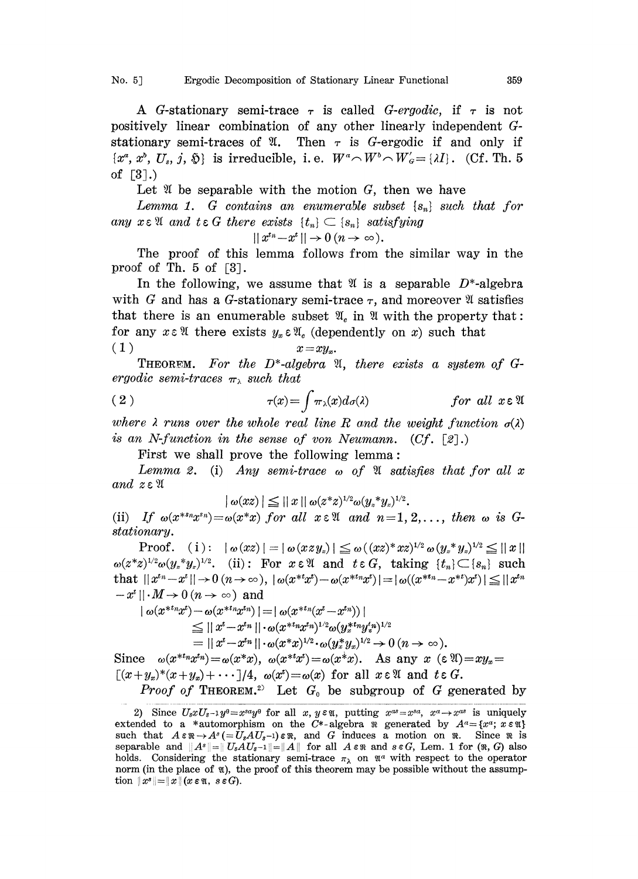No. 5] Ergodic Decomposition of Stationary Linear Functional 359

A G-stationary semi-trace  $\tau$  is called G-ergodic, if  $\tau$  is not positively linear combination of any other linearly independent positively linear combination of any other linearly independent of-<br>stationary semi-traces of  $\mathfrak{A}$ . Then  $\tau$  is G-ergodic if and only if<br> $\{x^a, x^b, U_s, j, \mathfrak{H}\}$  is irreducible, i.e.  $W^a \cap W^b \cap W'_a = \{\lambda I\}$ . (Cf. Th of  $\lceil 3 \rceil$ .)

Let  $\mathfrak A$  be separable with the motion G, then we have

Lemma 1. G contains an enumerable subset  $\{s_n\}$  such that for any  $x \in \mathfrak{A}$  and  $t \in G$  there exists  $\{t_n\} \subset \{s_n\}$  satisfying

$$
||x^{t_n}-x^t||\to 0 \ (n\to\infty).
$$

The proof of this lemma follows from the similar way in the proof of Th.  $5 \text{ of } [3]$ .

In the following, we assume that  $\mathfrak V$  is a separable  $D^*$ -algebra with G and has a G-stationary semi-trace  $\tau$ , and moreover  $\mathfrak A$  satisfies that there is an enumerable subset  $\mathfrak{A}_c$  in  $\mathfrak A$  with the property that: for any  $x \in \mathfrak{A}$  there exists  $y_x \in \mathfrak{A}_c$  (dependently on x) such that (1)  $x = xy_x$ .

**THEOREM.** For the D<sup>\*</sup>-algebra  $\mathfrak{A}$ , there exists a system of Gergodic semi-traces  $\pi_{\lambda}$  such that

(2) 
$$
\tau(x) = \int \pi_{\lambda}(x) d\sigma(\lambda) \qquad \text{for all } x \in \mathfrak{A}
$$

where  $\lambda$  runs over the whole real line R and the weight function  $\sigma(\lambda)$ is an N-function in the sense of von Neumann. (Cf. [2].)

First we shall prove the following lemma:

Lemma 2. (i) Any semi-trace  $\omega$  of  $\mathfrak A$  satisfies that for all x and  $z \in \mathfrak{A}$ 

$$
| \omega(xz) | \leq ||x|| \omega (z^*z)^{1/2} \omega (y_*^*y_z)^{1/2}.
$$

(ii) If  $\omega(x^{*n}x^{s_n})=\omega(x^*x)$  for all  $x \in \mathfrak{A}$  and  $n=1, 2, \ldots$ , then  $\omega$  is Gstationary.

 $\text{Proof.} \quad (\text{i}): \;\; |\; \omega(xz)| = |\; \omega(xzy_z)| \leqq \omega((xz)^*xz)^{1/2} \, \omega(y_z^*y_z)^{1/2}$  $\omega(z^*z)^{1/2}\omega(y_z^*y_z)^{1/2}$ . (ii): For  $x \in \mathfrak{A}$  and  $t \in G$ , taking  $\{t_n\} \subset \{s_n\}$  such that  $||x^{t_n}-x^t|| \to 0 \ (n \to \infty), \ |\omega(x^{*t}x^t)-\omega(x^{*t_n}x^t)| = |\omega((x^{*t_n}-x^{*t})x^t)| \leq ||x^{t_n}-x^t||$  $-x^{t}$  ||  $\cdot M \rightarrow 0$  ( $n \rightarrow \infty$ ) and

$$
|\omega(x^{*tn}x^{t})-\omega(x^{*tn}x^{tn})|=|\omega(x^{*tn}(x^{t}-x^{tn}))|\leq ||x^{t}-x^{tn}||\cdot \omega(x^{*tn}x^{tn})^{1/2}\omega(y^{*tn}y^{t}y^{1/2})= ||x^{t}-x^{tn}||\cdot \omega(x^{*}x)^{1/2}\cdot \omega(y^{*}_{x}y_{x})^{1/2}\rightarrow 0 \ (n\rightarrow \infty).
$$

Since  $\omega(x^{*t}nx^{t_n})=\omega(x^{*}x), \ \omega(x^{*t}x)=\omega(x^{*}x).$  As any  $x \in \mathfrak{A}=\mathfrak{X}$  $[(x+y_x)^*(x+y_x)+\cdots]/4$ ,  $\omega(x^t) = \omega(x)$  for all  $x \in \mathfrak{A}$  and  $t \in G$ . *Proof of* THEOREM.<sup>2)</sup> Let  $G_0$  be subgroup of G generated by

<sup>2)</sup> Since  $U_3xU_3-1y^0=x^{sa}y^0$  for all  $x, y \in \mathfrak{A}$ , putting  $x^{as}=x^{sa}, x^a \rightarrow x^{as}$  is uniquely extended to a \*automorphism on the C\*-algebra  $\Re$  generated by  $A^a = \{x^a; x \in \Re\}$ such that  $A \in \mathbb{R} \to A^s (= \bar{U}_s A U_s - 1) \in \mathbb{R}$ , and G induces a motion on  $\mathbb{R}$ . Since  $\mathbb{R}$  is separable and  $||A^s||=||U_sAU_{s-1}||=||A||$  for all  $A \in \mathbb{R}$  and  $s \in G$ , Lem. 1 for  $(\mathbb{R}, G)$  also holds. Considering the stationary semi-trace  $\pi_{\lambda}$  on  $\mathfrak{A}^{\alpha}$  with respect to the operator norm (in the place of  $\mathfrak{A}$ ), the proof of this theorem may be possible without the assumption  $||x^s|| = ||x||$  ( $x \in \mathfrak{A}$ ,  $s \in G$ ).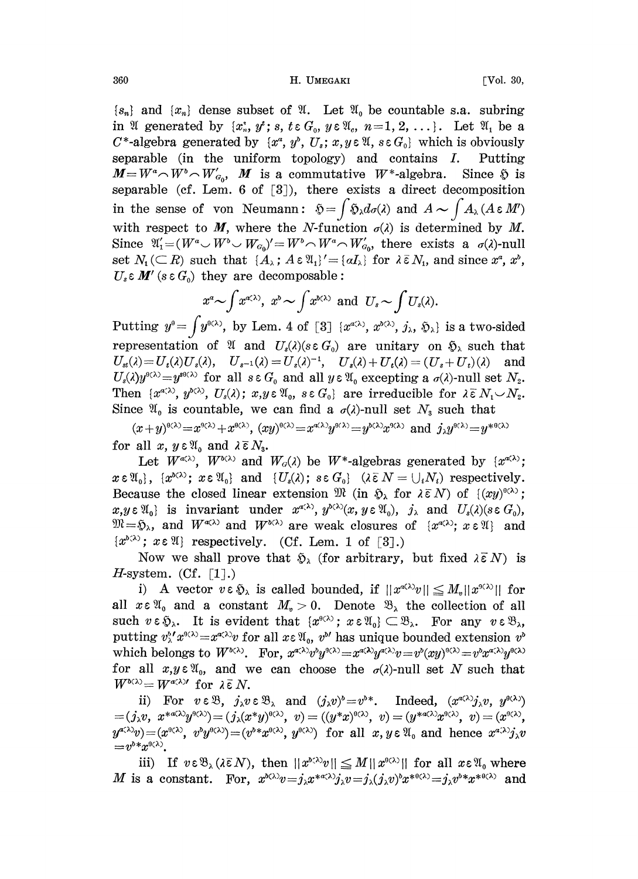$\{s_n\}$  and  $\{x_n\}$  dense subset of  $\mathfrak{A}$ . Let  $\mathfrak{A}$  be countable s.a. subring in  $\mathfrak{A}$  generated by  $\{x_n^*, y^*: s, t \in G_0, y \in \mathfrak{A}_c, n=1, 2, \ldots\}$ . Let  $\mathfrak{A}_1$  be a  $C^*$ -algebra generated by  $\{x^a, y^b, U_s; x, y \in \mathfrak{A}, s \in G_0\}$  which is obviously separable (in the uniform topology) and contains  $I$ . Putting  $M = W^a \cap W^b \cap W'_{\sigma}$ , M is a commutative W<sup>\*</sup>-algebra. Since  $\mathfrak H$  is separable (cf. Lem. 6 of [3), there exists a direct decomposition in the sense of von Neumann:  $\mathfrak{H} = \int \mathfrak{H}_\lambda d\sigma(\lambda)$  and  $A \sim \int A_\lambda (A \varepsilon M')$ with respect to M, where the N-function  $\sigma(\lambda)$  is determined by M. Since  $\mathfrak{A}'_1=(W^a\cup W^b\cup W_{\mathcal{C}_0})'=W^b\cap W^a\cap W'_{\mathcal{C}_0}$ , there exists a  $\sigma(\lambda)$ -null set  $N_1(\subset R)$  such that  $\{A_\lambda : A \in \mathfrak{A}_1\}' = \{aI_\lambda\}$  for  $\lambda \bar{\varepsilon} N_1$ , and since  $x^a, x^b$ ,  $U_s \in M'$  (s  $\in G_0$ ) they are decomposable:

$$
x^a \sim \int x^{\alpha(\lambda)}, x^b \sim \int x^{b(\lambda)} \text{ and } U_s \sim \int U_s(\lambda).
$$

 $x^a \sim \int x^{a_{(\lambda)}}, x^b \sim \int x^{b_{(\lambda)}}$  and  $U_s \sim \int U_s(\lambda)$ .<br>Putting  $y^0 = \int y^{b_{(\lambda)}}$ , by Lem. 4 of [3]  $\{x^{a_{(\lambda)}}, x^{b_{(\lambda)}}, j_\lambda, \tilde{\psi}_\lambda\}$  is a two-sided representation of  $\mathfrak{A}$  and  $U_s(\lambda)(s \in G_0)$  are unitary on  $\mathfrak{H}_\lambda$  such that  $U_{\mathfrak{s}}(\lambda) = U_{\mathfrak{s}}(\lambda)U_{\mathfrak{s}}(\lambda), \quad U_{\mathfrak{s}^{-1}}(\lambda) = U_{\mathfrak{s}}(\lambda)^{-1}, \quad U_{\mathfrak{s}}(\lambda) + U_{\mathfrak{s}}(\lambda) = (U_{\mathfrak{s}} + U_{\mathfrak{s}})(\lambda) \quad \text{and}$  $U_s(\lambda)y^{\theta(\lambda)}=y^{\theta(\lambda)}$  for all  $s \in G_0$  and all  $y \in \mathfrak{A}_0$  excepting a  $\sigma(\lambda)$ -null set  $N_z$ . Then  $\{x^{\alpha(\lambda)}, y^{\beta(\lambda)}, U_{\beta}(\lambda); x, y \in \mathfrak{A}_0, s \in G_0\}$  are irreducible for  $\lambda \in N_1 \cup N_2$ . Since  $\mathfrak{A}_0$  is countable, we can find a  $\sigma(\lambda)$ -null set  $N_3$  such that

 $(x+y)^{9(\lambda)}=x^{9(\lambda)}+x^{9(\lambda)}$ ,  $(xy)^{9(\lambda)}=x^{\alpha(\lambda)}y^{9(\lambda)}=y^{9(\lambda)}x^{9(\lambda)}$  and  $j_1y^{9(\lambda)}=y^{9(0(\lambda))}$ for all  $x, y \in \mathfrak{A}_0$  and  $\lambda \in N_s$ .

Let  $W^{a(\lambda)}$ ,  $W^{b(\lambda)}$  and  $W_{a}(\lambda)$  be  $W^*$ -algebras generated by  $\{x^{a(\lambda)}\}$ ;  $x \in \mathfrak{A}_{0}$ ,  $\{x^{\delta(\lambda)}; x \in \mathfrak{A}_{0}\}$  and  $\{U_{s}(\lambda); s \in G_{0}\}$   $(\lambda \bar{\epsilon} N = \bigcup_{i} N_{i})$  respectively. Because the closed linear extension  $\mathfrak{M}$  (in  $\mathfrak{H}_{\lambda}$  for  $\lambda \in N$ ) of  $\{(xy)^{\theta(\lambda)}\}$ ;  $x, y \in \mathfrak{A}_0$  is invariant under  $x^{a(\lambda)}, y^{b(\lambda)}(x, y \in \mathfrak{A}_0)$ ,  $j_{\lambda}$  and  $U_s(\lambda)(s \in G_0)$ ,  $\mathfrak{M}=\mathfrak{H}_{\lambda}$ , and  $W^{\alpha(\lambda)}$  and  $W^{\beta(\lambda)}$  are weak closures of  $\{x^{\alpha(\lambda)}; x \in \mathfrak{A}\}\$  and  $\{x^{\delta(\lambda)}; x \in \mathfrak{A}\}\)$  respectively. (Cf. Lem. 1 of [3].)

Now we shall prove that  $\mathfrak{H}_{\lambda}$  (for arbitrary, but fixed  $\lambda \bar{\epsilon} N$ ) is *H*-system. (Cf.  $\lceil 1 \rceil$ .)

i) A vector  $v \in \mathfrak{H}_{\lambda}$  is called bounded, if  $||x^{\alpha(\lambda)}v|| \leq M_{n}||x^{\alpha(\lambda)}||$  for all  $x \in \mathfrak{A}_0$  and a constant  $M_n > 0$ . Denote  $\mathfrak{B}_\lambda$  the collection of all such  $v \in \mathfrak{H}_{\lambda}$ . It is evident that  $\{x^{\theta(\lambda)}\colon x \in \mathfrak{A}_{\theta}\} \subset \mathfrak{B}_{\lambda}$ . For any  $v \in \mathfrak{B}_{\lambda}$ , putting  $v_{\lambda}^{b'} x^{g(\lambda)} = x^{g(\lambda)} v$  for all  $x \in \mathfrak{A}_0$ ,  $v^{b'}$  has unique bounded extension  $v^{b}$ which belongs to  $W^{b(\lambda)}$ . For,  $x^{a(\lambda)}v^{b(y^{a(\lambda)})} = x^{a(\lambda)}y^{a(\lambda)}v = v^{b}(xy)^{b(\lambda)} = v^{b}x^{a(\lambda)}y^{b(\lambda)}$ for all  $x, y \in \mathfrak{A}_0$ , and we can choose the  $\sigma(\lambda)$ -null set N such that For an  $x, y \in \mathcal{U}_0$ , and v<br>  $W^{b(\lambda)} = W^{a(\lambda)}$  for  $\lambda \bar{\epsilon} N$ .

ii) For  $v \in \mathcal{B}$ ,  $j_{\lambda}v \in \mathcal{B}_{\lambda}$  and  $(j_{\lambda}v)^{\delta} = v^{\delta,*}$ . Indeed,  $(x^{\alpha(\lambda)}j_{\lambda}v, y^{\theta(\lambda)})$  $\mathcal{L}=(j_{\lambda}v,~~x^{*\alpha(\lambda)}y^{\beta(\lambda)})=(j_{\lambda}(x^*y)^{\beta(\lambda)},~~v)=((y^*x)^{\beta(\lambda)},~~v)=(y^{*\alpha(\lambda)}x^{\beta(\lambda)},~~v)=(x^{\beta(\lambda)},x^{\beta(\lambda)}),$  $y^{a(\lambda)}v)=(x^{a(\lambda)}, v^{\nu}y^{a(\lambda)})=(v^{\nu}x^{a(\lambda)}, y^{a(\lambda)})$  for all  $x, y \in \mathfrak{A}_0$  and hence  $x^{a(\lambda)}y_{\lambda}v$  $= v^{b*} x^{0(\lambda)}.$ 

iii) If  $v \in \mathfrak{B}_{\lambda}(\lambda \bar{\epsilon} N)$ , then  $||x^{\delta \langle \lambda \rangle}v|| \leq M||x^{\delta(\lambda)}||$  for all  $x \in \mathfrak{A}_{0}$  where M is a constant. For,  $x^{\delta(\lambda)}v = j_{\lambda}x^{\ast\alpha(\lambda)}j_{\lambda}v = j_{\lambda}(j_{\lambda}v)^{\delta}x^{\ast\theta(\lambda)} = j_{\lambda}v^{\delta}x^{\ast\theta(\lambda)}$  and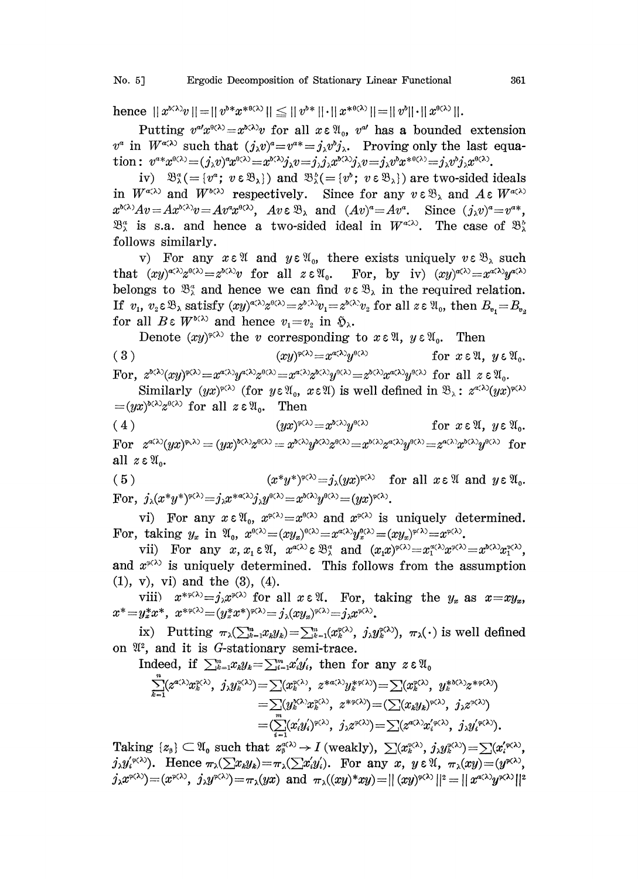hence  $||x^{b(\lambda)}v|| = ||v^{b*}x^{b(\lambda)}|| \le ||v^{b*}|| \cdot ||x^{b(\lambda)}|| = ||v^{b}|| \cdot ||x^{b(\lambda)}||.$ 

Putting  $v^{a'}x^{a(\lambda)}=x^{b(\lambda)}v$  for all  $x \in \mathfrak{A}_0$ ,  $v^{a'}$  has a bounded extension  $v^a$  in  $W^{a(\lambda)}$  such that  $(j_\lambda v)^a = v^{a*} = j_\lambda v^b j_\lambda$ . Proving only the last equation:  $v^{a*}x^{a(\lambda)} = (j_{\lambda}v)^{a}x^{a(\lambda)} = x^{b(\lambda)}j_{\lambda}v = j_{\lambda}j_{\lambda}x^{b(\lambda)}j_{\lambda}v = j_{\lambda}v^{b}x^{a(\lambda)} = j_{\lambda}v^{b}j_{\lambda}x^{a(\lambda)}$ .

iv)  $\mathfrak{B}_{\lambda}^{\alpha} = \{v^{\alpha}; v \in \mathfrak{B}_{\lambda}\}\$  and  $\mathfrak{B}_{\lambda}^{\beta} = \{v^{\beta}; v \in \mathfrak{B}_{\lambda}\}\$  are two-sided ideals in  $W^{\alpha(\lambda)}$  and  $W^{\beta(\lambda)}$  respectively. Since for any  $v \in \mathcal{B}_{\lambda}$  and  $A \in W^{\alpha(\lambda)}$  $x^{b(\lambda)}Av = Ax^{b(\lambda)}v = Av^a x^{b(\lambda)}$ ,  $Av \in \mathfrak{B}_{\lambda}$  and  $(Av)^a = Av^a$ . Since  $(j_{\lambda}v)^a = v^{a*}$ ,  $\mathfrak{B}_{\lambda}^{a}$  is s.a. and hence a two-sided ideal in  $W^{a\lambda}$ . The case of  $\mathfrak{B}_{\lambda}^{b}$ follows similarly.

v) For any  $x \in \mathcal{X}$  and  $y \in \mathcal{X}_0$ , there exists uniquely  $v \in \mathcal{B}_\lambda$  such that  $(xy)^{\alpha(\lambda)}z^{\beta(\lambda)}=z^{\delta(\lambda)}v$  for all  $z \in \mathfrak{A}_0$ . For, by iv)  $(xy)^{\alpha(\lambda)}=x^{\alpha(\lambda)}y^{\alpha(\lambda)}$ belongs to  $\mathfrak{B}_{\lambda}^{\alpha}$  and hence we can find  $v \in \mathfrak{B}_{\lambda}$  in the required relation. If  $v_1$ ,  $v_2 \in \mathfrak{B}_{\lambda}$  satisfy  $(xy)^{\alpha(\lambda)}z^{\beta(\lambda)}=z^{\delta(\lambda)}v_1=z^{\delta(\lambda)}v_2$  for all  $z \in \mathfrak{A}_0$ , then  $B_{v_1}=B_{v_2}$ for all  $B \in W^{b(\lambda)}$  and hence  $v_1 = v_2$  in  $\mathfrak{D}_{\lambda}$ .

Denote  $(xy)^{\varphi(\lambda)}$  the v corresponding to  $x \in \mathfrak{A}$ ,  $y \in \mathfrak{A}_0$ . Then  $(xy)^{\varphi(\lambda)} = x^{\alpha(\lambda)} y^{\theta(\lambda)}$  $(3)$ for  $x \in \mathfrak{A}$ ,  $y \in \mathfrak{A}_0$ . For,  $z^{\delta(\lambda)}(xy)^{\varphi(\lambda)} = x^{\alpha(\lambda)}y^{\alpha(\lambda)}z^{\theta(\lambda)} = x^{\alpha(\lambda)}z^{\delta(\lambda)}y^{\theta(\lambda)} = z^{\delta(\lambda)}x^{\alpha(\lambda)}y^{\theta(\lambda)}$  for all  $z \in \mathcal{X}_0$ .

Similarly  $(yx)^{\varphi(\lambda)}$  (for  $y \in \mathfrak{A}_0$ ,  $x \in \mathfrak{A}$ ) is well defined in  $\mathfrak{B}_\lambda$ :  $z^{\alpha(\lambda)}(yx)^{\varphi(\lambda)}$  $=(yx)^{b(\lambda)}z^{b(\lambda)}$  for all  $z \in \mathfrak{A}_0$ . Then

(4) 
$$
(yx)^{\varphi(\lambda)} = x^{\delta(\lambda)}y^{\varphi(\lambda)} \quad \text{for } x \in \mathcal{X}, y \in \mathcal{X}_0.
$$
  
For  $z^{\alpha(\lambda)}(yx)^{\varphi(\lambda)} = (yx)^{\delta(\lambda)}z^{\varphi(\lambda)} = x^{\delta(\lambda)}y^{\delta(\lambda)}z^{\varphi(\lambda)} = x^{\delta(\lambda)}z^{\alpha(\lambda)}y^{\varphi(\lambda)} = z^{\alpha(\lambda)}x^{\delta(\lambda)}y^{\varphi(\lambda)} \quad \text{for all } z \in \mathcal{X}_0.$ 

(5) 
$$
(x^*y^*)^{\varphi(\lambda)} = j_{\lambda}(yx)^{\varphi(\lambda)}
$$
 for all  $x \in \mathbb{Y}$  and  $y \in \mathbb{Y}_0$ .  
For,  $j_{\lambda}(x^*y^*)^{\varphi(\lambda)} = j_{\lambda}x^{*\alpha(\lambda)}j_{\lambda}y^{\varphi(\lambda)} = x^{b(\lambda)}y^{\varphi(\lambda)} = (yx)^{\varphi(\lambda)}$ .

vi) For any  $x \in \mathfrak{A}_0$ ,  $x^{\varphi(\lambda)} = x^{\varphi(\lambda)}$  and  $x^{\varphi(\lambda)}$  is uniquely determined. For, taking  $y_x$  in  $\mathfrak{A}_0$ ,  $x^{\theta(\lambda)} = (xy_x)^{\theta(\lambda)} = x^{\alpha(\lambda)}y^{\theta(\lambda)} = (xy_x)^{\phi(\lambda)} = x^{\phi(\lambda)}$ .

vii) For any  $x, x_1 \in \mathfrak{A}$ ,  $x^{\alpha(\lambda)} \in \mathfrak{B}_{\lambda}^{\alpha}$  and  $(x, x)^{\varphi(\lambda)} = x^{\alpha(\lambda)} x^{\varphi(\lambda)} = x^{\delta(\lambda)} x^{\varphi(\lambda)}$ , and  $x^{\varphi(\lambda)}$  is uniquely determined. This follows from the assumption  $(1), v), vi)$  and the  $(3), (4).$ 

viii)  $x^{*\varphi(\lambda)} = j_{\lambda} x^{\varphi(\lambda)}$  for all  $x \in \mathcal{X}$ . For, taking the  $y_x$  as  $x = xy_x$ ,  $x^* = y_x^* x^*, x^{*\varphi(\lambda)} = (y_x^* x^*)^{\varphi(\lambda)} = j_1 (x y_x)^{\varphi(\lambda)} = j_2 x^{\varphi(\lambda)}.$ 

ix) Putting  $\pi_{\lambda}(\sum_{k=1}^{m}x_{k}y_{k})=\sum_{k=1}^{m}(x_{k}^{\varphi(\lambda)}, j_{\lambda}y_{k}^{\varphi(\lambda)}), \pi_{\lambda}(\cdot)$  is well defined on  $\mathfrak{A}^2$ , and it is G-stationary semi-trace.

Indeed, if  $\sum_{k=1}^m x_k y_k = \sum_{i=1}^m x'_i y'_i$ , then for any  $z \in \mathfrak{A}_0$ 

$$
\sum_{k=1}^{n} (z^{\alpha(\lambda)} x_k^{\alpha(\lambda)}, \ j_{\lambda} y_k^{\alpha(\lambda)}) = \sum (x_k^{\alpha(\lambda)}, \ z^{\ast \alpha(\lambda)} y_k^{\ast \alpha(\lambda)}) = \sum (x_k^{\alpha(\lambda)}, \ y_k^{\ast \alpha(\lambda)} z^{\ast \alpha(\lambda)})
$$
\n
$$
= \sum (y_k^{\lambda(\lambda)} x_k^{\alpha(\lambda)}, \ z^{\ast \alpha(\lambda)}) = (\sum (x_k y_k)^{\alpha(\lambda)}, \ j_{\lambda} z^{\alpha(\lambda)})
$$
\n
$$
= (\sum_{k=1}^{m} (x_i^{\prime} y_i^{\prime})^{\alpha(\lambda)}, \ j_{\lambda} z^{\alpha(\lambda)}) = \sum (z^{\alpha(\lambda)} x_i^{\prime} \alpha^{\prime \lambda}, \ j_{\lambda} y_i^{\prime} \alpha^{\prime \lambda}).
$$

Taking  $\{z_{\beta}\}\subset\mathfrak{A}_{\alpha}$  such that  $z_{\beta}^{\alpha(\lambda)}\rightarrow I$  (weakly),  $\sum_{\alpha}(\chi_{\beta}^{\alpha(\lambda)},j_{\lambda}y_{\beta}^{\alpha(\lambda)})=\sum_{\alpha}(\chi_{\beta}^{\alpha(\lambda)},j_{\lambda}y_{\beta}^{\alpha(\lambda)})$  $j_{\lambda}y_i'^{\varphi(\lambda)}$ . Hence  $\pi_{\lambda}(\sum x_k y_k) = \pi_{\lambda}(\sum x_i' y_i')$ . For any x,  $y \in \mathfrak{A}, \pi_{\lambda}(xy) = (y^{\varphi(\lambda)}, y^{\varphi(\lambda)})$  $j_{\lambda}x^{\varphi(\lambda)} = (x^{\varphi(\lambda)}, j_{\lambda}y^{\varphi(\lambda)}) = \pi_{\lambda}(yx)$  and  $\pi_{\lambda}((xy)^*xy) = ||(xy)^{\varphi(\lambda)}||^2 = ||x^{\alpha(\lambda)}y^{\varphi(\lambda)}||^2$